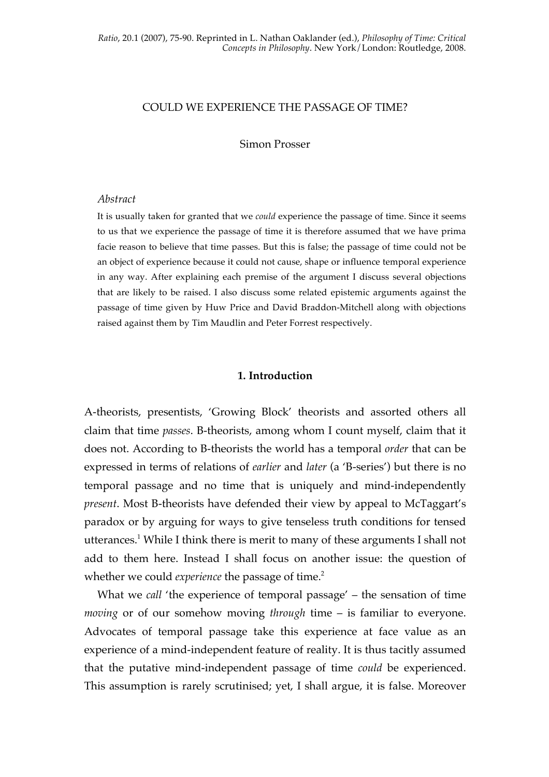# COULD WE EXPERIENCE THE PASSAGE OF TIME?

Simon Prosser

### *Abstract*

It is usually taken for granted that we *could* experience the passage of time. Since it seems to us that we experience the passage of time it is therefore assumed that we have prima facie reason to believe that time passes. But this is false; the passage of time could not be an object of experience because it could not cause, shape or influence temporal experience in any way. After explaining each premise of the argument I discuss several objections that are likely to be raised. I also discuss some related epistemic arguments against the passage of time given by Huw Price and David Braddon-Mitchell along with objections raised against them by Tim Maudlin and Peter Forrest respectively.

#### **1. Introduction**

A-theorists, presentists, 'Growing Block' theorists and assorted others all claim that time *passes*. B-theorists, among whom I count myself, claim that it does not. According to B-theorists the world has a temporal *order* that can be expressed in terms of relations of *earlier* and *later* (a 'B-series') but there is no temporal passage and no time that is uniquely and mind-independently *present*. Most B-theorists have defended their view by appeal to McTaggart's paradox or by arguing for ways to give tenseless truth conditions for tensed utterances.<sup>1</sup> While I think there is merit to many of these arguments I shall not add to them here. Instead I shall focus on another issue: the question of whether we could *experience* the passage of time.<sup>2</sup>

What we *call* 'the experience of temporal passage' – the sensation of time *moving* or of our somehow moving *through* time – is familiar to everyone. Advocates of temporal passage take this experience at face value as an experience of a mind-independent feature of reality. It is thus tacitly assumed that the putative mind-independent passage of time *could* be experienced. This assumption is rarely scrutinised; yet, I shall argue, it is false. Moreover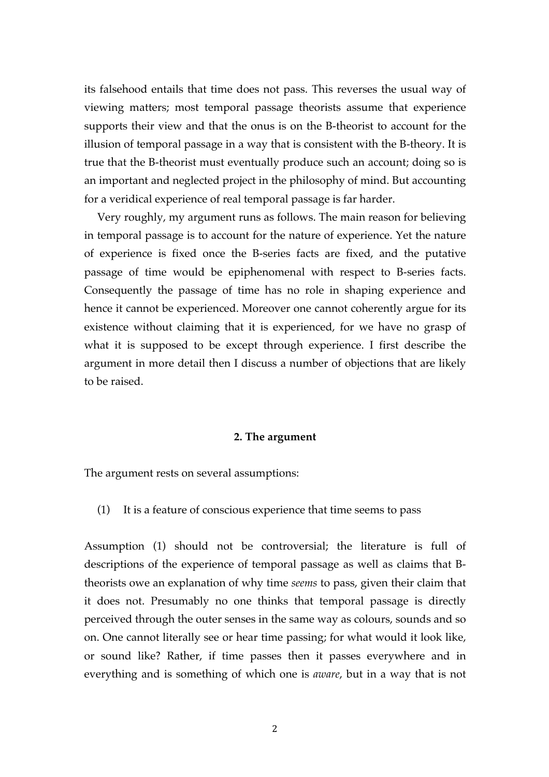its falsehood entails that time does not pass. This reverses the usual way of viewing matters; most temporal passage theorists assume that experience supports their view and that the onus is on the B-theorist to account for the illusion of temporal passage in a way that is consistent with the B-theory. It is true that the B-theorist must eventually produce such an account; doing so is an important and neglected project in the philosophy of mind. But accounting for a veridical experience of real temporal passage is far harder.

Very roughly, my argument runs as follows. The main reason for believing in temporal passage is to account for the nature of experience. Yet the nature of experience is fixed once the B-series facts are fixed, and the putative passage of time would be epiphenomenal with respect to B-series facts. Consequently the passage of time has no role in shaping experience and hence it cannot be experienced. Moreover one cannot coherently argue for its existence without claiming that it is experienced, for we have no grasp of what it is supposed to be except through experience. I first describe the argument in more detail then I discuss a number of objections that are likely to be raised.

## **2. The argument**

The argument rests on several assumptions:

(1) It is a feature of conscious experience that time seems to pass

Assumption (1) should not be controversial; the literature is full of descriptions of the experience of temporal passage as well as claims that Btheorists owe an explanation of why time *seems* to pass, given their claim that it does not. Presumably no one thinks that temporal passage is directly perceived through the outer senses in the same way as colours, sounds and so on. One cannot literally see or hear time passing; for what would it look like, or sound like? Rather, if time passes then it passes everywhere and in everything and is something of which one is *aware*, but in a way that is not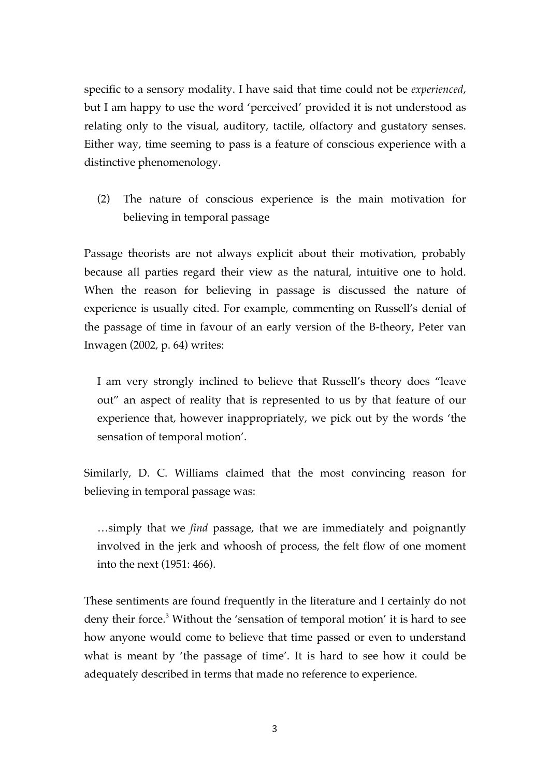specific to a sensory modality. I have said that time could not be *experienced*, but I am happy to use the word 'perceived' provided it is not understood as relating only to the visual, auditory, tactile, olfactory and gustatory senses. Either way, time seeming to pass is a feature of conscious experience with a distinctive phenomenology.

(2) The nature of conscious experience is the main motivation for believing in temporal passage

Passage theorists are not always explicit about their motivation, probably because all parties regard their view as the natural, intuitive one to hold. When the reason for believing in passage is discussed the nature of experience is usually cited. For example, commenting on Russell's denial of the passage of time in favour of an early version of the B-theory, Peter van Inwagen (2002, p. 64) writes:

I am very strongly inclined to believe that Russell's theory does "leave out" an aspect of reality that is represented to us by that feature of our experience that, however inappropriately, we pick out by the words 'the sensation of temporal motion'.

Similarly, D. C. Williams claimed that the most convincing reason for believing in temporal passage was:

…simply that we *find* passage, that we are immediately and poignantly involved in the jerk and whoosh of process, the felt flow of one moment into the next (1951: 466).

These sentiments are found frequently in the literature and I certainly do not deny their force.<sup>3</sup> Without the 'sensation of temporal motion' it is hard to see how anyone would come to believe that time passed or even to understand what is meant by 'the passage of time'. It is hard to see how it could be adequately described in terms that made no reference to experience.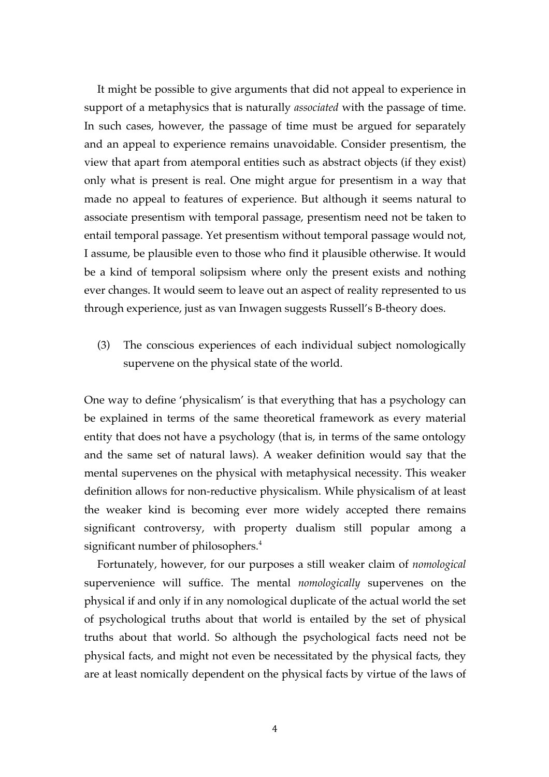It might be possible to give arguments that did not appeal to experience in support of a metaphysics that is naturally *associated* with the passage of time. In such cases, however, the passage of time must be argued for separately and an appeal to experience remains unavoidable. Consider presentism, the view that apart from atemporal entities such as abstract objects (if they exist) only what is present is real. One might argue for presentism in a way that made no appeal to features of experience. But although it seems natural to associate presentism with temporal passage, presentism need not be taken to entail temporal passage. Yet presentism without temporal passage would not, I assume, be plausible even to those who find it plausible otherwise. It would be a kind of temporal solipsism where only the present exists and nothing ever changes. It would seem to leave out an aspect of reality represented to us through experience, just as van Inwagen suggests Russell's B-theory does.

(3) The conscious experiences of each individual subject nomologically supervene on the physical state of the world.

One way to define 'physicalism' is that everything that has a psychology can be explained in terms of the same theoretical framework as every material entity that does not have a psychology (that is, in terms of the same ontology and the same set of natural laws). A weaker definition would say that the mental supervenes on the physical with metaphysical necessity. This weaker definition allows for non-reductive physicalism. While physicalism of at least the weaker kind is becoming ever more widely accepted there remains significant controversy, with property dualism still popular among a significant number of philosophers.<sup>4</sup>

Fortunately, however, for our purposes a still weaker claim of *nomological* supervenience will suffice. The mental *nomologically* supervenes on the physical if and only if in any nomological duplicate of the actual world the set of psychological truths about that world is entailed by the set of physical truths about that world. So although the psychological facts need not be physical facts, and might not even be necessitated by the physical facts, they are at least nomically dependent on the physical facts by virtue of the laws of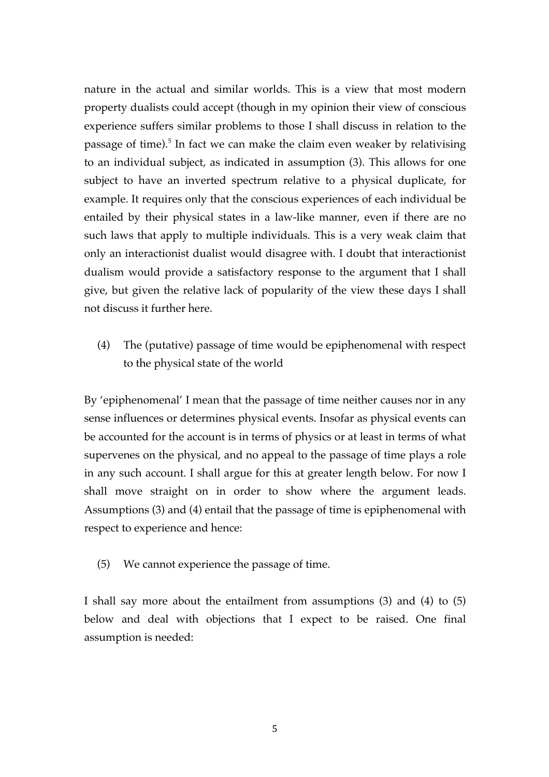nature in the actual and similar worlds. This is a view that most modern property dualists could accept (though in my opinion their view of conscious experience suffers similar problems to those I shall discuss in relation to the passage of time).<sup>5</sup> In fact we can make the claim even weaker by relativising to an individual subject, as indicated in assumption (3). This allows for one subject to have an inverted spectrum relative to a physical duplicate, for example. It requires only that the conscious experiences of each individual be entailed by their physical states in a law-like manner, even if there are no such laws that apply to multiple individuals. This is a very weak claim that only an interactionist dualist would disagree with. I doubt that interactionist dualism would provide a satisfactory response to the argument that I shall give, but given the relative lack of popularity of the view these days I shall not discuss it further here.

(4) The (putative) passage of time would be epiphenomenal with respect to the physical state of the world

By 'epiphenomenal' I mean that the passage of time neither causes nor in any sense influences or determines physical events. Insofar as physical events can be accounted for the account is in terms of physics or at least in terms of what supervenes on the physical, and no appeal to the passage of time plays a role in any such account. I shall argue for this at greater length below. For now I shall move straight on in order to show where the argument leads. Assumptions (3) and (4) entail that the passage of time is epiphenomenal with respect to experience and hence:

(5) We cannot experience the passage of time.

I shall say more about the entailment from assumptions (3) and (4) to (5) below and deal with objections that I expect to be raised. One final assumption is needed: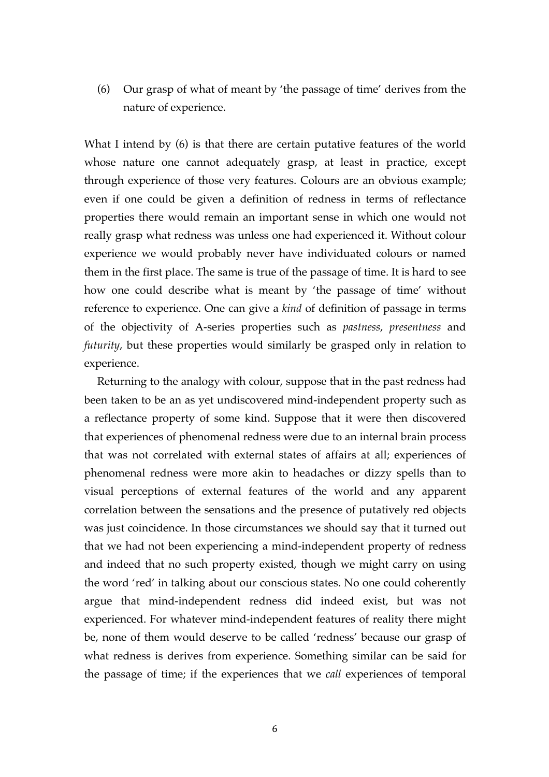(6) Our grasp of what of meant by 'the passage of time' derives from the nature of experience.

What I intend by (6) is that there are certain putative features of the world whose nature one cannot adequately grasp, at least in practice, except through experience of those very features. Colours are an obvious example; even if one could be given a definition of redness in terms of reflectance properties there would remain an important sense in which one would not really grasp what redness was unless one had experienced it. Without colour experience we would probably never have individuated colours or named them in the first place. The same is true of the passage of time. It is hard to see how one could describe what is meant by 'the passage of time' without reference to experience. One can give a *kind* of definition of passage in terms of the objectivity of A-series properties such as *pastness*, *presentness* and *futurity*, but these properties would similarly be grasped only in relation to experience.

Returning to the analogy with colour, suppose that in the past redness had been taken to be an as yet undiscovered mind-independent property such as a reflectance property of some kind. Suppose that it were then discovered that experiences of phenomenal redness were due to an internal brain process that was not correlated with external states of affairs at all; experiences of phenomenal redness were more akin to headaches or dizzy spells than to visual perceptions of external features of the world and any apparent correlation between the sensations and the presence of putatively red objects was just coincidence. In those circumstances we should say that it turned out that we had not been experiencing a mind-independent property of redness and indeed that no such property existed, though we might carry on using the word 'red' in talking about our conscious states. No one could coherently argue that mind-independent redness did indeed exist, but was not experienced. For whatever mind-independent features of reality there might be, none of them would deserve to be called 'redness' because our grasp of what redness is derives from experience. Something similar can be said for the passage of time; if the experiences that we *call* experiences of temporal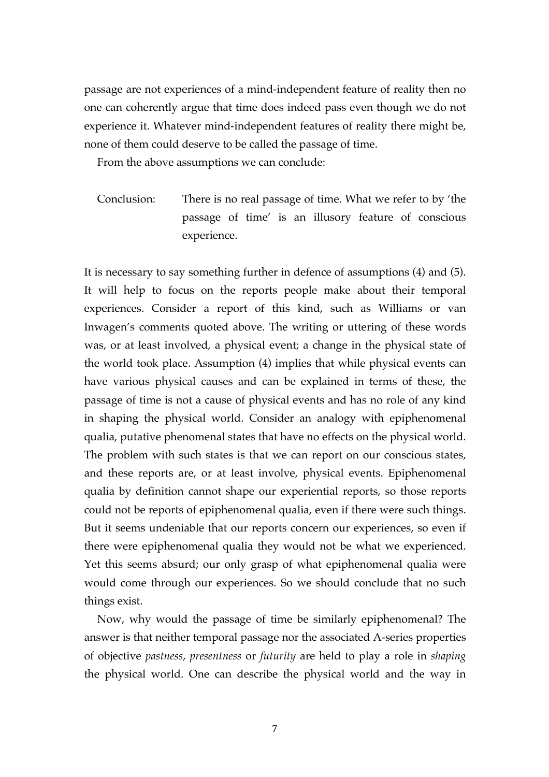passage are not experiences of a mind-independent feature of reality then no one can coherently argue that time does indeed pass even though we do not experience it. Whatever mind-independent features of reality there might be, none of them could deserve to be called the passage of time.

From the above assumptions we can conclude:

Conclusion: There is no real passage of time. What we refer to by 'the passage of time' is an illusory feature of conscious experience.

It is necessary to say something further in defence of assumptions (4) and (5). It will help to focus on the reports people make about their temporal experiences. Consider a report of this kind, such as Williams or van Inwagen's comments quoted above. The writing or uttering of these words was, or at least involved, a physical event; a change in the physical state of the world took place. Assumption (4) implies that while physical events can have various physical causes and can be explained in terms of these, the passage of time is not a cause of physical events and has no role of any kind in shaping the physical world. Consider an analogy with epiphenomenal qualia, putative phenomenal states that have no effects on the physical world. The problem with such states is that we can report on our conscious states, and these reports are, or at least involve, physical events. Epiphenomenal qualia by definition cannot shape our experiential reports, so those reports could not be reports of epiphenomenal qualia, even if there were such things. But it seems undeniable that our reports concern our experiences, so even if there were epiphenomenal qualia they would not be what we experienced. Yet this seems absurd; our only grasp of what epiphenomenal qualia were would come through our experiences. So we should conclude that no such things exist.

Now, why would the passage of time be similarly epiphenomenal? The answer is that neither temporal passage nor the associated A-series properties of objective *pastness*, *presentness* or *futurity* are held to play a role in *shaping* the physical world. One can describe the physical world and the way in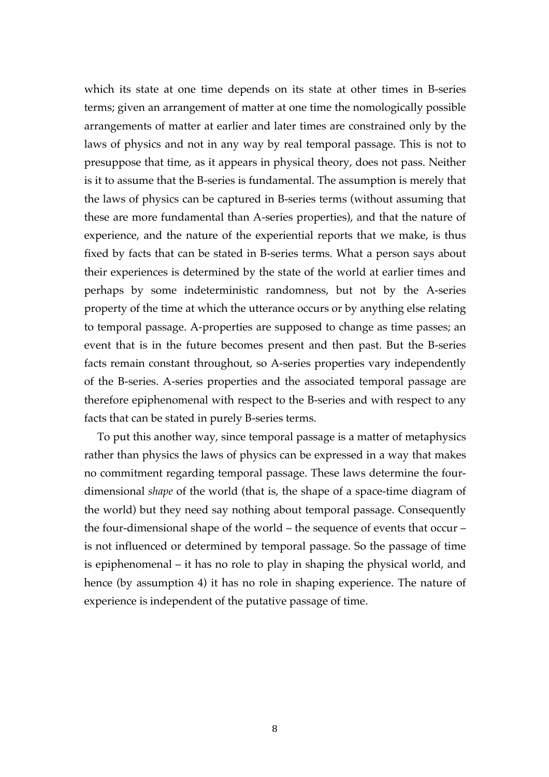which its state at one time depends on its state at other times in B-series terms; given an arrangement of matter at one time the nomologically possible arrangements of matter at earlier and later times are constrained only by the laws of physics and not in any way by real temporal passage. This is not to presuppose that time, as it appears in physical theory, does not pass. Neither is it to assume that the B-series is fundamental. The assumption is merely that the laws of physics can be captured in B-series terms (without assuming that these are more fundamental than A-series properties), and that the nature of experience, and the nature of the experiential reports that we make, is thus fixed by facts that can be stated in B-series terms. What a person says about their experiences is determined by the state of the world at earlier times and perhaps by some indeterministic randomness, but not by the A-series property of the time at which the utterance occurs or by anything else relating to temporal passage. A-properties are supposed to change as time passes; an event that is in the future becomes present and then past. But the B-series facts remain constant throughout, so A-series properties vary independently of the B-series. A-series properties and the associated temporal passage are therefore epiphenomenal with respect to the B-series and with respect to any facts that can be stated in purely B-series terms.

To put this another way, since temporal passage is a matter of metaphysics rather than physics the laws of physics can be expressed in a way that makes no commitment regarding temporal passage. These laws determine the fourdimensional *shape* of the world (that is, the shape of a space-time diagram of the world) but they need say nothing about temporal passage. Consequently the four-dimensional shape of the world – the sequence of events that occur – is not influenced or determined by temporal passage. So the passage of time is epiphenomenal – it has no role to play in shaping the physical world, and hence (by assumption 4) it has no role in shaping experience. The nature of experience is independent of the putative passage of time.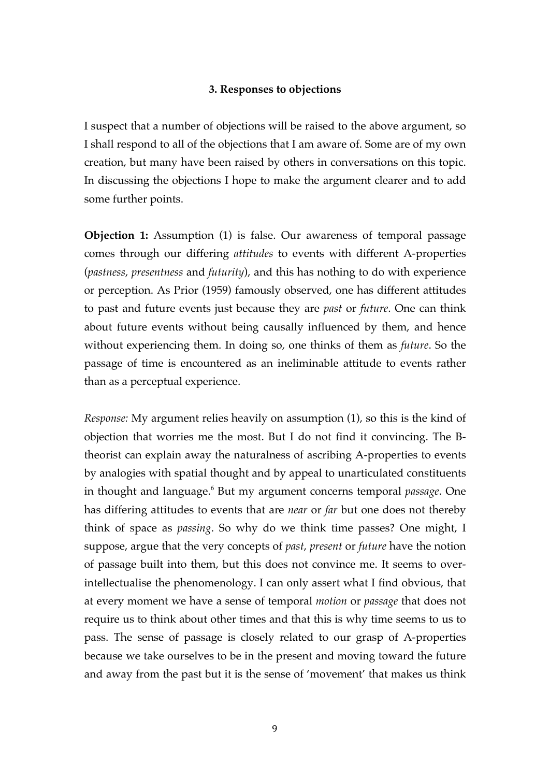# **3. Responses to objections**

I suspect that a number of objections will be raised to the above argument, so I shall respond to all of the objections that I am aware of. Some are of my own creation, but many have been raised by others in conversations on this topic. In discussing the objections I hope to make the argument clearer and to add some further points.

**Objection 1:** Assumption (1) is false. Our awareness of temporal passage comes through our differing *attitudes* to events with different A-properties (*pastness*, *presentness* and *futurity*), and this has nothing to do with experience or perception. As Prior (1959) famously observed, one has different attitudes to past and future events just because they are *past* or *future*. One can think about future events without being causally influenced by them, and hence without experiencing them. In doing so, one thinks of them as *future*. So the passage of time is encountered as an ineliminable attitude to events rather than as a perceptual experience.

*Response:* My argument relies heavily on assumption (1), so this is the kind of objection that worries me the most. But I do not find it convincing. The Btheorist can explain away the naturalness of ascribing A-properties to events by analogies with spatial thought and by appeal to unarticulated constituents in thought and language.<sup>6</sup> But my argument concerns temporal *passage*. One has differing attitudes to events that are *near* or *far* but one does not thereby think of space as *passing*. So why do we think time passes? One might, I suppose, argue that the very concepts of *past*, *present* or *future* have the notion of passage built into them, but this does not convince me. It seems to overintellectualise the phenomenology. I can only assert what I find obvious, that at every moment we have a sense of temporal *motion* or *passage* that does not require us to think about other times and that this is why time seems to us to pass. The sense of passage is closely related to our grasp of A-properties because we take ourselves to be in the present and moving toward the future and away from the past but it is the sense of 'movement' that makes us think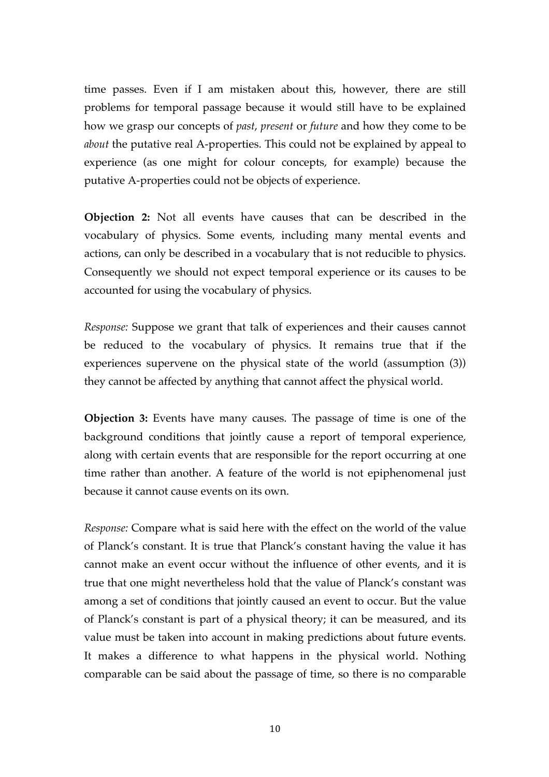time passes. Even if I am mistaken about this, however, there are still problems for temporal passage because it would still have to be explained how we grasp our concepts of *past*, *present* or *future* and how they come to be *about* the putative real A-properties. This could not be explained by appeal to experience (as one might for colour concepts, for example) because the putative A-properties could not be objects of experience.

**Objection 2:** Not all events have causes that can be described in the vocabulary of physics. Some events, including many mental events and actions, can only be described in a vocabulary that is not reducible to physics. Consequently we should not expect temporal experience or its causes to be accounted for using the vocabulary of physics.

*Response:* Suppose we grant that talk of experiences and their causes cannot be reduced to the vocabulary of physics. It remains true that if the experiences supervene on the physical state of the world (assumption (3)) they cannot be affected by anything that cannot affect the physical world.

**Objection 3:** Events have many causes. The passage of time is one of the background conditions that jointly cause a report of temporal experience, along with certain events that are responsible for the report occurring at one time rather than another. A feature of the world is not epiphenomenal just because it cannot cause events on its own.

*Response:* Compare what is said here with the effect on the world of the value of Planck's constant. It is true that Planck's constant having the value it has cannot make an event occur without the influence of other events, and it is true that one might nevertheless hold that the value of Planck's constant was among a set of conditions that jointly caused an event to occur. But the value of Planck's constant is part of a physical theory; it can be measured, and its value must be taken into account in making predictions about future events. It makes a difference to what happens in the physical world. Nothing comparable can be said about the passage of time, so there is no comparable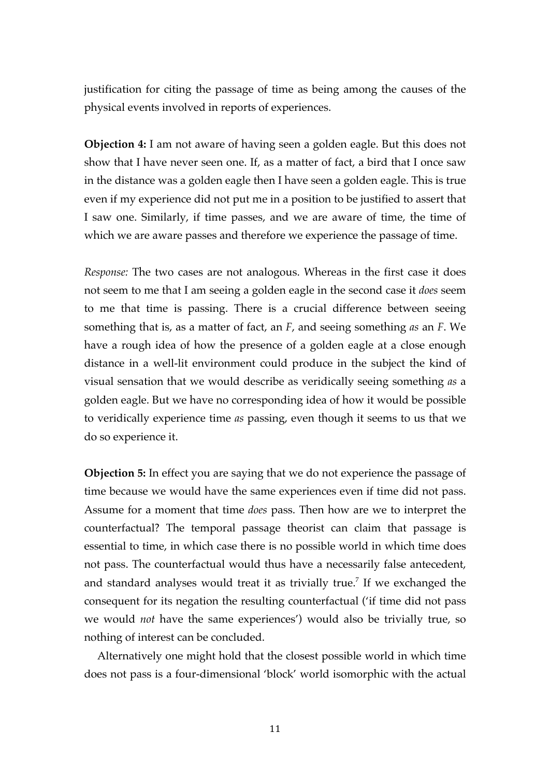justification for citing the passage of time as being among the causes of the physical events involved in reports of experiences.

**Objection 4:** I am not aware of having seen a golden eagle. But this does not show that I have never seen one. If, as a matter of fact, a bird that I once saw in the distance was a golden eagle then I have seen a golden eagle. This is true even if my experience did not put me in a position to be justified to assert that I saw one. Similarly, if time passes, and we are aware of time, the time of which we are aware passes and therefore we experience the passage of time.

*Response:* The two cases are not analogous. Whereas in the first case it does not seem to me that I am seeing a golden eagle in the second case it *does* seem to me that time is passing. There is a crucial difference between seeing something that is, as a matter of fact, an *F*, and seeing something *as* an *F*. We have a rough idea of how the presence of a golden eagle at a close enough distance in a well-lit environment could produce in the subject the kind of visual sensation that we would describe as veridically seeing something *as* a golden eagle. But we have no corresponding idea of how it would be possible to veridically experience time *as* passing, even though it seems to us that we do so experience it.

**Objection 5:** In effect you are saying that we do not experience the passage of time because we would have the same experiences even if time did not pass. Assume for a moment that time *does* pass. Then how are we to interpret the counterfactual? The temporal passage theorist can claim that passage is essential to time, in which case there is no possible world in which time does not pass. The counterfactual would thus have a necessarily false antecedent, and standard analyses would treat it as trivially true.<sup>7</sup> If we exchanged the consequent for its negation the resulting counterfactual ('if time did not pass we would *not* have the same experiences') would also be trivially true, so nothing of interest can be concluded.

Alternatively one might hold that the closest possible world in which time does not pass is a four-dimensional 'block' world isomorphic with the actual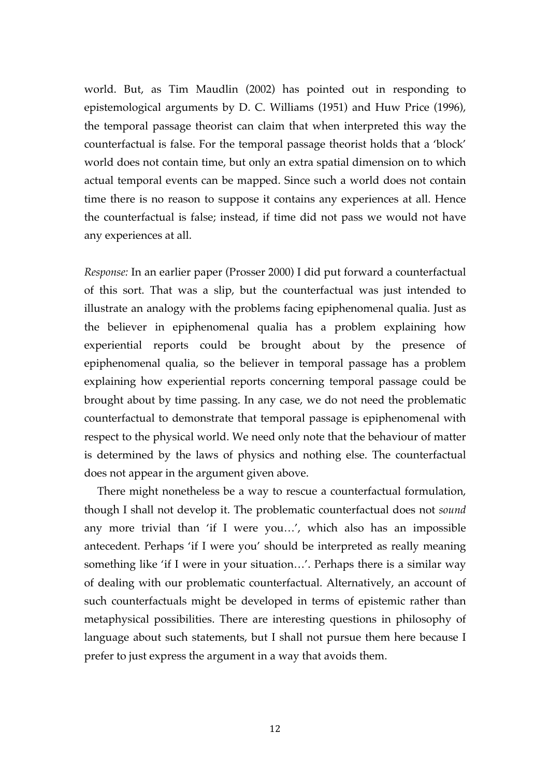world. But, as Tim Maudlin (2002) has pointed out in responding to epistemological arguments by D. C. Williams (1951) and Huw Price (1996), the temporal passage theorist can claim that when interpreted this way the counterfactual is false. For the temporal passage theorist holds that a 'block' world does not contain time, but only an extra spatial dimension on to which actual temporal events can be mapped. Since such a world does not contain time there is no reason to suppose it contains any experiences at all. Hence the counterfactual is false; instead, if time did not pass we would not have any experiences at all.

*Response:* In an earlier paper (Prosser 2000) I did put forward a counterfactual of this sort. That was a slip, but the counterfactual was just intended to illustrate an analogy with the problems facing epiphenomenal qualia. Just as the believer in epiphenomenal qualia has a problem explaining how experiential reports could be brought about by the presence of epiphenomenal qualia, so the believer in temporal passage has a problem explaining how experiential reports concerning temporal passage could be brought about by time passing. In any case, we do not need the problematic counterfactual to demonstrate that temporal passage is epiphenomenal with respect to the physical world. We need only note that the behaviour of matter is determined by the laws of physics and nothing else. The counterfactual does not appear in the argument given above.

There might nonetheless be a way to rescue a counterfactual formulation, though I shall not develop it. The problematic counterfactual does not *sound* any more trivial than 'if I were you…', which also has an impossible antecedent. Perhaps 'if I were you' should be interpreted as really meaning something like 'if I were in your situation…'. Perhaps there is a similar way of dealing with our problematic counterfactual. Alternatively, an account of such counterfactuals might be developed in terms of epistemic rather than metaphysical possibilities. There are interesting questions in philosophy of language about such statements, but I shall not pursue them here because I prefer to just express the argument in a way that avoids them.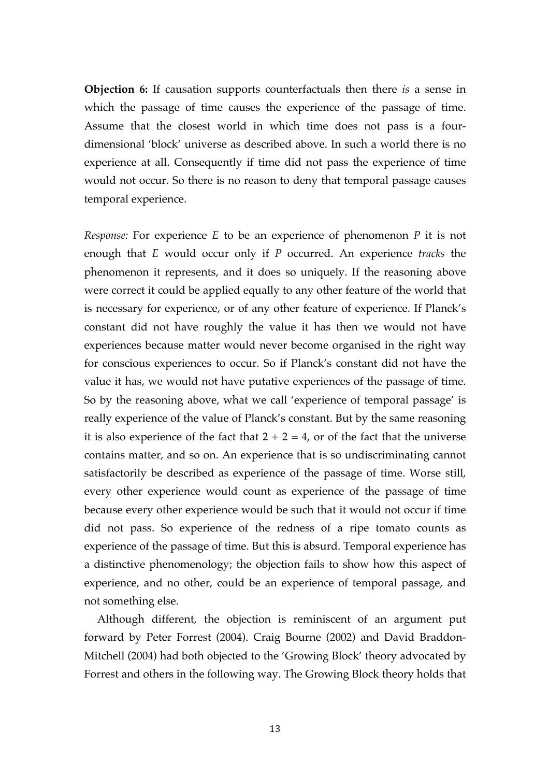**Objection 6:** If causation supports counterfactuals then there *is* a sense in which the passage of time causes the experience of the passage of time. Assume that the closest world in which time does not pass is a fourdimensional 'block' universe as described above. In such a world there is no experience at all. Consequently if time did not pass the experience of time would not occur. So there is no reason to deny that temporal passage causes temporal experience.

*Response:* For experience *E* to be an experience of phenomenon *P* it is not enough that *E* would occur only if *P* occurred. An experience *tracks* the phenomenon it represents, and it does so uniquely. If the reasoning above were correct it could be applied equally to any other feature of the world that is necessary for experience, or of any other feature of experience. If Planck's constant did not have roughly the value it has then we would not have experiences because matter would never become organised in the right way for conscious experiences to occur. So if Planck's constant did not have the value it has, we would not have putative experiences of the passage of time. So by the reasoning above, what we call 'experience of temporal passage' is really experience of the value of Planck's constant. But by the same reasoning it is also experience of the fact that  $2 + 2 = 4$ , or of the fact that the universe contains matter, and so on. An experience that is so undiscriminating cannot satisfactorily be described as experience of the passage of time. Worse still, every other experience would count as experience of the passage of time because every other experience would be such that it would not occur if time did not pass. So experience of the redness of a ripe tomato counts as experience of the passage of time. But this is absurd. Temporal experience has a distinctive phenomenology; the objection fails to show how this aspect of experience, and no other, could be an experience of temporal passage, and not something else.

Although different, the objection is reminiscent of an argument put forward by Peter Forrest (2004). Craig Bourne (2002) and David Braddon-Mitchell (2004) had both objected to the 'Growing Block' theory advocated by Forrest and others in the following way. The Growing Block theory holds that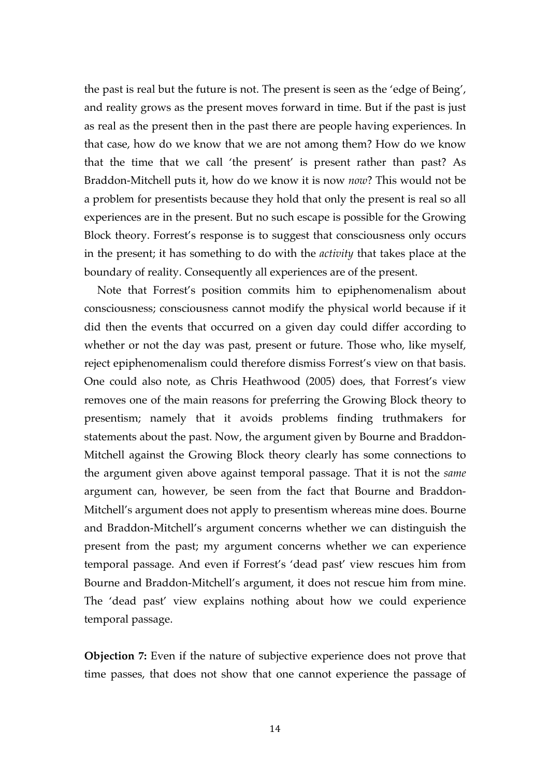the past is real but the future is not. The present is seen as the 'edge of Being', and reality grows as the present moves forward in time. But if the past is just as real as the present then in the past there are people having experiences. In that case, how do we know that we are not among them? How do we know that the time that we call 'the present' is present rather than past? As Braddon-Mitchell puts it, how do we know it is now *now*? This would not be a problem for presentists because they hold that only the present is real so all experiences are in the present. But no such escape is possible for the Growing Block theory. Forrest's response is to suggest that consciousness only occurs in the present; it has something to do with the *activity* that takes place at the boundary of reality. Consequently all experiences are of the present.

Note that Forrest's position commits him to epiphenomenalism about consciousness; consciousness cannot modify the physical world because if it did then the events that occurred on a given day could differ according to whether or not the day was past, present or future. Those who, like myself, reject epiphenomenalism could therefore dismiss Forrest's view on that basis. One could also note, as Chris Heathwood (2005) does, that Forrest's view removes one of the main reasons for preferring the Growing Block theory to presentism; namely that it avoids problems finding truthmakers for statements about the past. Now, the argument given by Bourne and Braddon-Mitchell against the Growing Block theory clearly has some connections to the argument given above against temporal passage. That it is not the *same* argument can, however, be seen from the fact that Bourne and Braddon-Mitchell's argument does not apply to presentism whereas mine does. Bourne and Braddon-Mitchell's argument concerns whether we can distinguish the present from the past; my argument concerns whether we can experience temporal passage. And even if Forrest's 'dead past' view rescues him from Bourne and Braddon-Mitchell's argument, it does not rescue him from mine. The 'dead past' view explains nothing about how we could experience temporal passage.

**Objection 7:** Even if the nature of subjective experience does not prove that time passes, that does not show that one cannot experience the passage of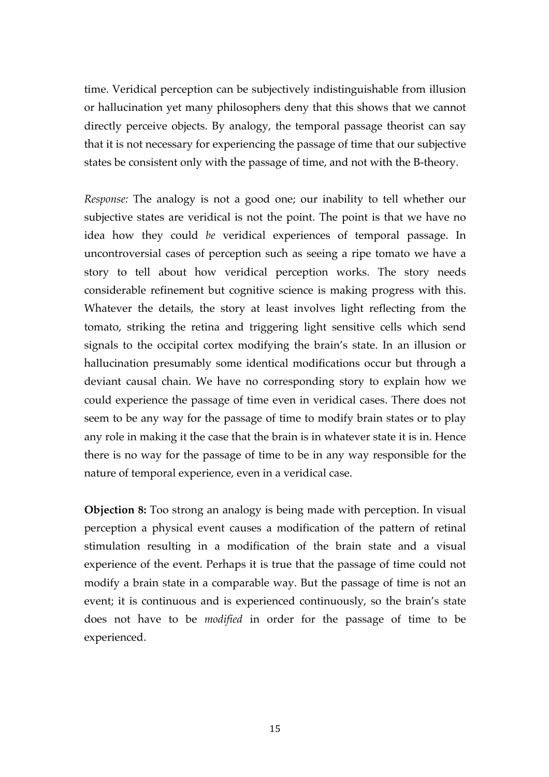time. Veridical perception can be subjectively indistinguishable from illusion or hallucination yet many philosophers deny that this shows that we cannot directly perceive objects. By analogy, the temporal passage theorist can say that it is not necessary for experiencing the passage of time that our subjective states be consistent only with the passage of time, and not with the B-theory.

*Response:* The analogy is not a good one; our inability to tell whether our subjective states are veridical is not the point. The point is that we have no idea how they could *be* veridical experiences of temporal passage. In uncontroversial cases of perception such as seeing a ripe tomato we have a story to tell about how veridical perception works. The story needs considerable refinement but cognitive science is making progress with this. Whatever the details, the story at least involves light reflecting from the tomato, striking the retina and triggering light sensitive cells which send signals to the occipital cortex modifying the brain's state. In an illusion or hallucination presumably some identical modifications occur but through a deviant causal chain. We have no corresponding story to explain how we could experience the passage of time even in veridical cases. There does not seem to be any way for the passage of time to modify brain states or to play any role in making it the case that the brain is in whatever state it is in. Hence there is no way for the passage of time to be in any way responsible for the nature of temporal experience, even in a veridical case.

**Objection 8:** Too strong an analogy is being made with perception. In visual perception a physical event causes a modification of the pattern of retinal stimulation resulting in a modification of the brain state and a visual experience of the event. Perhaps it is true that the passage of time could not modify a brain state in a comparable way. But the passage of time is not an event; it is continuous and is experienced continuously, so the brain's state does not have to be *modified* in order for the passage of time to be experienced.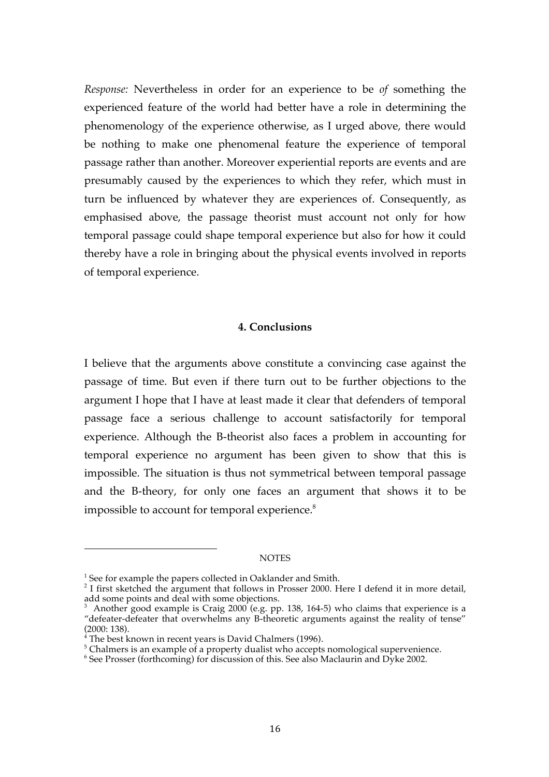*Response:* Nevertheless in order for an experience to be *of* something the experienced feature of the world had better have a role in determining the phenomenology of the experience otherwise, as I urged above, there would be nothing to make one phenomenal feature the experience of temporal passage rather than another. Moreover experiential reports are events and are presumably caused by the experiences to which they refer, which must in turn be influenced by whatever they are experiences of. Consequently, as emphasised above, the passage theorist must account not only for how temporal passage could shape temporal experience but also for how it could thereby have a role in bringing about the physical events involved in reports of temporal experience.

## **4. Conclusions**

I believe that the arguments above constitute a convincing case against the passage of time. But even if there turn out to be further objections to the argument I hope that I have at least made it clear that defenders of temporal passage face a serious challenge to account satisfactorily for temporal experience. Although the B-theorist also faces a problem in accounting for temporal experience no argument has been given to show that this is impossible. The situation is thus not symmetrical between temporal passage and the B-theory, for only one faces an argument that shows it to be impossible to account for temporal experience.<sup>8</sup>

**NOTES** 

 $\overline{a}$ 

<sup>&</sup>lt;sup>1</sup> See for example the papers collected in Oaklander and Smith.

 $2$  I first sketched the argument that follows in Prosser 2000. Here I defend it in more detail, add some points and deal with some objections.

<sup>&</sup>lt;sup>3</sup> Another good example is Craig 2000 (e.g. pp. 138, 164-5) who claims that experience is a "defeater-defeater that overwhelms any B-theoretic arguments against the reality of tense" (2000: 138).

 $4$  The best known in recent years is David Chalmers (1996).

<sup>&</sup>lt;sup>5</sup> Chalmers is an example of a property dualist who accepts nomological supervenience.

 $6$  See Prosser (forthcoming) for discussion of this. See also Maclaurin and Dyke 2002.